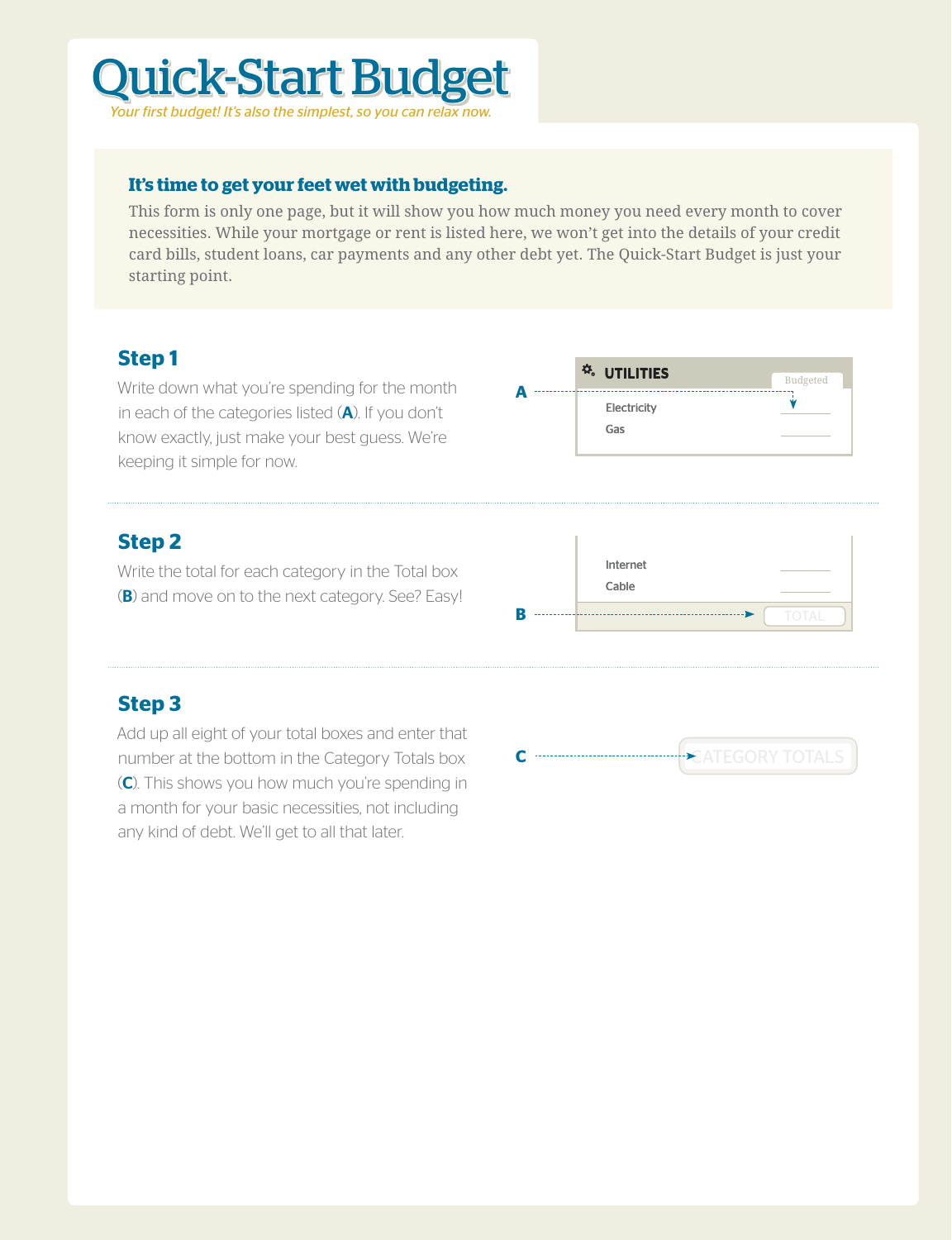## Quick-Start Budget *Your first budget! It's also the simplest, so you can relax now.*

#### **It's time to get your feet wet with budgeting.**

This form is only one page, but it will show you how much money you need every month to cover necessities. While your mortgage or rent is listed here, we won't get into the details of your credit card bills, student loans, car payments and any other debt yet. The Quick-Start Budget is just your starting point.

### **Step 1**

Write down what you're spending for the month in each of the categories listed  $(A)$ . If you don't know exactly, just make your best guess. We're keeping it simple for now.



#### **Step 2**

Write the total for each category in the Total box (B) and move on to the next category. See? Easy!



### **Step 3**

Add up all eight of your total boxes and enter that number at the bottom in the Category Totals box (C). This shows you how much you're spending in a month for your basic necessities, not including any kind of debt. We'll get to all that later.